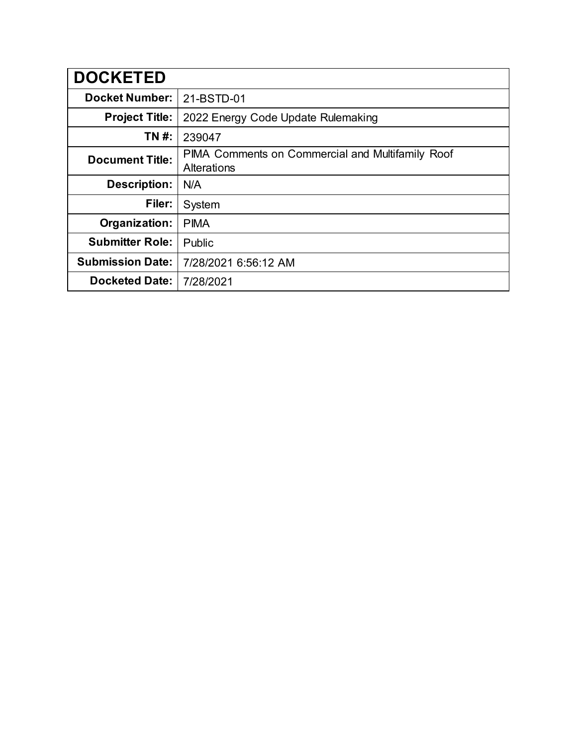| <b>DOCKETED</b>         |                                                                 |
|-------------------------|-----------------------------------------------------------------|
| <b>Docket Number:</b>   | 21-BSTD-01                                                      |
| <b>Project Title:</b>   | 2022 Energy Code Update Rulemaking                              |
| TN #:                   | 239047                                                          |
| <b>Document Title:</b>  | PIMA Comments on Commercial and Multifamily Roof<br>Alterations |
| <b>Description:</b>     | N/A                                                             |
| Filer:                  | System                                                          |
| Organization:           | <b>PIMA</b>                                                     |
| <b>Submitter Role:</b>  | Public                                                          |
| <b>Submission Date:</b> | 7/28/2021 6:56:12 AM                                            |
| <b>Docketed Date:</b>   | 7/28/2021                                                       |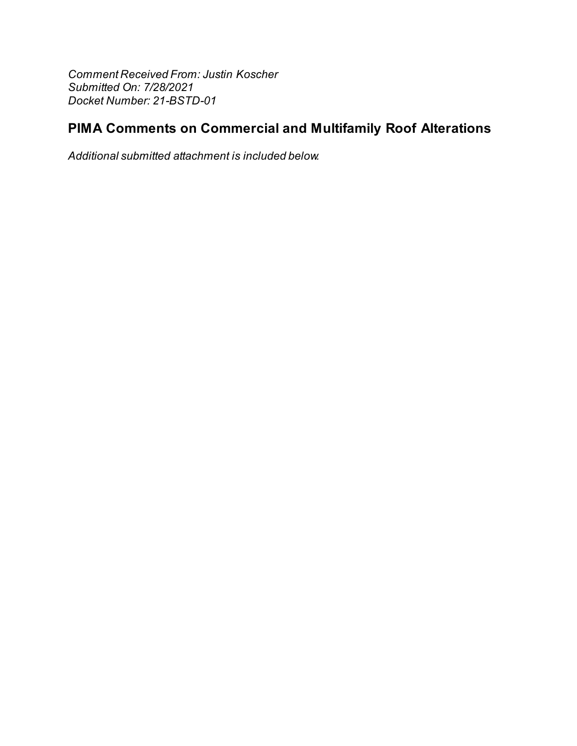Comment Received From: Justin Koscher Submitted On: 7/28/2021 Docket Number: 21-BSTD-01

## PIMA Comments on Commercial and Multifamily Roof Alterations

Additional submitted attachment is included below.